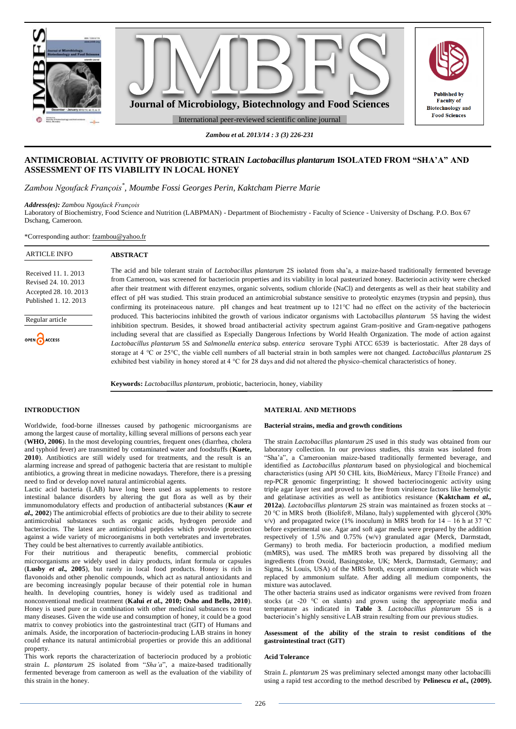

*Zambou et al. 2013/14 : 3 (3) 226-231*

# **ANTIMICROBIAL ACTIVITY OF PROBIOTIC STRAIN** *Lactobacillus plantarum* **ISOLATED FROM "SHA'A" AND ASSESSMENT OF ITS VIABILITY IN LOCAL HONEY**

*Zambou Ngoufack François\* , Moumbe Fossi Georges Perin, Kaktcham Pierre Marie*

*Address(es): Zambou Ngoufack François*

Laboratory of Biochemistry, Food Science and Nutrition (LABPMAN) - Department of Biochemistry - Faculty of Science - University of Dschang. P.O. Box 67 Dschang, Cameroon.

\*Corresponding author: [fzambou@yahoo.fr](mailto:fzambou@yahoo.fr)

| <b>ARTICLE INFO</b>                                                                            | <b>ABSTRACT</b>                                                                                                                                                                                                                                                                                                                                                                                                                                                                                                                                                                                                                                                                                                         |
|------------------------------------------------------------------------------------------------|-------------------------------------------------------------------------------------------------------------------------------------------------------------------------------------------------------------------------------------------------------------------------------------------------------------------------------------------------------------------------------------------------------------------------------------------------------------------------------------------------------------------------------------------------------------------------------------------------------------------------------------------------------------------------------------------------------------------------|
| Received 11, 1, 2013<br>Revised 24, 10, 2013<br>Accepted 28, 10, 2013<br>Published 1, 12, 2013 | The acid and bile tolerant strain of <i>Lactobacillus plantarum</i> 2S isolated from sha'a, a maize-based traditionally fermented beverage<br>from Cameroon, was screened for bacteriocin properties and its viability in local pasteurized honey. Bacteriocin activity were checked<br>after their treatment with different enzymes, organic solvents, sodium chloride (NaCl) and detergents as well as their heat stability and<br>effect of pH was studied. This strain produced an antimicrobial substance sensitive to proteolytic enzymes (trypsin and pepsin), thus<br>confirming its proteinaceous nature. pH changes and heat treatment up to $121^{\circ}$ C had no effect on the activity of the bacteriocin |
| Regular article                                                                                | produced. This bacteriocins inhibited the growth of various indicator organisms with Lactobacillus <i>plantarum</i> 5S having the widest<br>inhibition spectrum. Besides, it showed broad antibacterial activity spectrum against Gram-positive and Gram-negative pathogens                                                                                                                                                                                                                                                                                                                                                                                                                                             |
| OPEN CACCESS                                                                                   | including several that are classified as Especially Dangerous Infections by World Health Organization. The mode of action against<br>Lactobacillus plantarum 5S and Salmonella enterica subsp. enterica serovare Typhi ATCC 6539 is bacteriostatic. After 28 days of<br>storage at 4 °C or 25°C, the viable cell numbers of all bacterial strain in both samples were not changed. Lactobacillus plantarum 2S<br>exhibited best viability in honey stored at $4 \degree$ C for 28 days and did not altered the physico-chemical characteristics of honey.                                                                                                                                                               |
|                                                                                                | $\mathbf{u}$ , $\mathbf{v}$ , $\mathbf{v}$ , $\mathbf{v}$ , $\mathbf{v}$ , $\mathbf{v}$ , $\mathbf{v}$ , $\mathbf{v}$ , $\mathbf{v}$ , $\mathbf{v}$ , $\mathbf{v}$ , $\mathbf{v}$ , $\mathbf{v}$ , $\mathbf{v}$ , $\mathbf{v}$ , $\mathbf{v}$ , $\mathbf{v}$ , $\mathbf{v}$ , $\mathbf{v}$ , $\mathbf{v}$ ,                                                                                                                                                                                                                                                                                                                                                                                                             |

# **Keywords:** *Lactobacillus plantarum*, probiotic, bacteriocin, honey, viability

#### **INTRODUCTION**

Worldwide, food-borne illnesses caused by pathogenic microorganisms are among the largest cause of mortality, killing several millions of persons each year (**WHO, 2006**). In the most developing countries, frequent ones (diarrhea, cholera and typhoid fever) are transmitted by contaminated water and foodstuffs (**Kuete, 2010**). Antibiotics are still widely used for treatments, and the result is an alarming increase and spread of pathogenic bacteria that are resistant to multiple antibiotics, a growing threat in medicine nowadays. Therefore, there is a pressing need to find or develop novel natural antimicrobial agents.

Lactic acid bacteria (LAB) have long been used as supplements to restore intestinal balance disorders by altering the gut flora as well as by their immunomodulatory effects and production of antibacterial substances (**Kaur** *et al.,* **2002**) The antimicrobial effects of probiotics are due to their ability to secrete antimicrobial substances such as organic acids, hydrogen peroxide and bacteriocins. The latest are antimicrobial peptides which provide protection against a wide variety of microorganisms in both vertebrates and invertebrates. They could be best alternatives to currently available antibiotics.

For their nutritious and therapeutic benefits, commercial probiotic microorganisms are widely used in dairy products, infant formula or capsules (**Lusby** *et al.,* **2005**), but rarely in local food products. Honey is rich in flavonoids and other phenolic compounds, which act as natural antioxidants and are becoming increasingly popular because of their potential role in human health. In developing countries, honey is widely used as traditional and nonconventional medical treatment (**Kalui** *et al.,* **2010; Osho and Bello, 2010**). Honey is used pure or in combination with other medicinal substances to treat many diseases. Given the wide use and consumption of honey, it could be a good matrix to convey probiotics into the gastrointestinal tract (GIT) of Humans and animals. Aside, the incorporation of bacteriocin-producing LAB strains in honey could enhance its natural antimicrobial properties or provide this an additional property.

This work reports the characterization of bacteriocin produced by a probiotic strain *L. plantarum* 2S isolated from "*Sha'a*", a maize-based traditionally fermented beverage from cameroon as well as the evaluation of the viability of this strain in the honey.

#### **MATERIAL AND METHODS**

### **Bacterial strains, media and growth conditions**

The strain *Lactobacillus plantarum 2S* used in this study was obtained from our laboratory collection. In our previous studies, this strain was isolated from "Sha'a", a Cameroonian maize-based traditionally fermented beverage, and identified as *Lactobacillus plantarum* based on physiological and biochemical characteristics (using API 50 CHL kits, BioMérieux, Marcy l'Etoile France) and rep-PCR genomic fingerprinting; It showed bacteriocinogenic activity using triple agar layer test and proved to be free from virulence factors like hemolytic and gelatinase activities as well as antibiotics resistance (**Kaktcham** *et al.,* **2012a**). *Lactobacillus plantarum* 2S strain was maintained as frozen stocks at – 20 °C in MRS broth (Biolife®, Milano, Italy) supplemented with glycerol (30% v/v) and propagated twice (1% inoculum) in MRS broth for  $14 - 16$  h at 37 °C before experimental use. Agar and soft agar media were prepared by the addition respectively of 1.5% and 0.75% (w/v) granulated agar (Merck, Darmstadt, Germany) to broth media. For bacteriocin production, a modified medium (mMRS), was used. The mMRS broth was prepared by dissolving all the ingredients (from Oxoid, Basingstoke, UK; Merck, Darmstadt, Germany; and Sigma, St Louis, USA) of the MRS broth, except ammonium citrate which was replaced by ammonium sulfate. After adding all medium components, the mixture was autoclaved.

The other bacteria strains used as indicator organisms were revived from frozen stocks (at -20 °C on slants) and grown using the appropriate media and temperature as indicated in **Table 3**. *Lactobacillus plantarum* 5S is a bacteriocin's highly sensitive LAB strain resulting from our previous studies.

### **Assessment of the ability of the strain to resist conditions of the gastrointestinal tract (GIT)**

#### **Acid Tolerance**

Strain *L. plantarum* 2S was preliminary selected amongst many other lactobacilli using a rapid test according to the method described by **Pelinescu** *et al.,* **(2009).**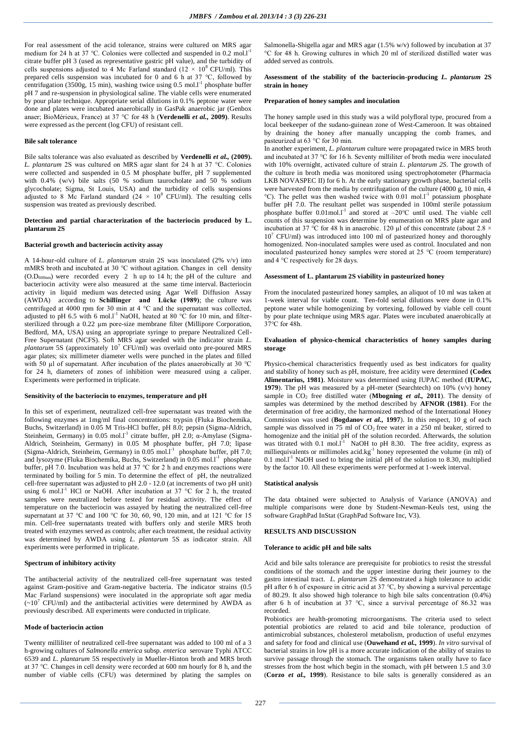For real assessment of the acid tolerance, strains were cultured on MRS agar medium for 24 h at 37 °C. Colonies were collected and suspended in 0.2 mol.<sup>1-1</sup> citrate buffer pH 3 (used as representative gastric pH value), and the turbidity of cells suspensions adjusted to 4 Mc Farland standard ( $12 \times 10^8$  CFU/ml). This prepared cells suspension was incubated for 0 and 6 h at 37 °C, followed by centrifugation (3500g, 15 min), washing twice using 0.5 mol.<sup>11</sup> phosphate buffer pH 7 and re-suspension in physiological saline. The viable cells were enumerated by pour plate technique. Appropriate serial dilutions in 0.1% peptone water were done and plates were incubated anaerobically in GasPak anaerobic jar (Genbox anaer; BioMérieux, France) at 37 °C for 48 h (**Verdenelli** *et al.,* **2009)**. Results were expressed as the percent (log CFU) of resistant cell.

#### **Bile salt tolerance**

Bile salts tolerance was also evaluated as described by **Verdenelli** *et al.,* **(2009).** *L. plantarum* 2S was cultured on MRS agar slant for 24 h at 37 °C. Colonies were collected and suspended in 0.5 M phosphate buffer, pH 7 supplemented with 0.4% (w/v) bile salts (50 % sodium taurocholate and 50 % sodium glycocholate; Sigma, St Louis, USA) and the turbidity of cells suspensions adjusted to 8 Mc Farland standard  $(24 \times 10^8$  CFU/ml). The resulting cells suspension was treated as previously described.

#### **Detection and partial characterization of the bacteriocin produced by L. plantarum 2S**

#### **Bacterial growth and bacteriocin activity assay**

A 14-hour-old culture of *L. plantarum* strain 2S was inoculated (2% v/v) into mMRS broth and incubated at 30 °C without agitation. Changes in cell density  $(O.D<sub>600nm</sub>)$  were recorded every 2 h up to 14 h; the pH of the culture and bacteriocin activity were also measured at the same time interval. Bacteriocin activity in liquid medium was detected using Agar Well Diffusion Assay (AWDA) according to **Schillinger and Lücke (1989)**; the culture was centrifuged at 4000 rpm for 30 min at 4 °C and the supernatant was collected, adjusted to pH 6.5 with 6 mol.l<sup>-1</sup> NaOH, heated at 80  $^{\circ}$ C for 10 min, and filtersterilized through a 0.22 µm pore-size membrane filter (Millipore Corporation, Bedford, MA, USA) using an appropriate syringe to prepare Neutralized Cell-Free Supernatant (NCFS). Soft MRS agar seeded with the indicator strain *L. plantarum* 5S (approximately 10<sup>7</sup> CFU/ml) was overlaid onto pre-poured MRS agar plates; six millimeter diameter wells were punched in the plates and filled with 50 µl of supernatant. After incubation of the plates anaerobically at 30 °C for 24 h, diameters of zones of inhibition were measured using a caliper. Experiments were performed in triplicate.

### **Sensitivity of the bacteriocin to enzymes, temperature and pH**

In this set of experiment, neutralized cell-free supernatant was treated with the following enzymes at 1mg/ml final concentrations: trypsin (Fluka Biochemika, Buchs, Switzerland) in 0.05 M Tris-HCl buffer, pH 8.0; pepsin (Sigma-Aldrich, Steinheim, Germany) in  $0.05$  mol.l<sup>-1</sup> citrate buffer, pH 2.0;  $\alpha$ -Amylase (Sigma-Aldrich, Steinheim, Germany) in 0.05 M phosphate buffer, pH 7.0; lipase (Sigma-Aldrich, Steinheim, Germany) in  $0.05$  mol.<sup>11</sup> phosphate buffer, pH 7.0; and lysozyme (Fluka Biochemika, Buchs, Switzerland) in 0.05 mol.l<sup>-1</sup> phosphate buffer, pH 7.0. Incubation was held at 37 °C for 2 h and enzymes reactions were terminated by boiling for 5 min. To determine the effect of pH, the neutralized cell-free supernatant was adjusted to pH 2.0 - 12.0 (at increments of two pH unit) using 6 mol.<sup>11</sup> HCl or NaOH. After incubation at 37 °C for 2 h, the treated samples were neutralized before tested for residual activity. The effect of temperature on the bacteriocin was assayed by heating the neutralized cell-free supernatant at 37 °C and 100 °C for 30, 60, 90, 120 min, and at 121 °C for 15 min. Cell-free supernatants treated with buffers only and sterile MRS broth treated with enzymes served as controls; after each treatment, the residual activity was determined by AWDA using *L. plantarum* 5S as indicator strain. All experiments were performed in triplicate.

## **Spectrum of inhibitory activity**

The antibacterial activity of the neutralized cell-free supernatant was tested against Gram-positive and Gram-negative bacteria. The indicator strains (0.5 Mac Farland suspensions) were inoculated in the appropriate soft agar media  $(-10^7 \text{ CFU/ml})$  and the antibacterial activities were determined by AWDA as previously described. All experiments were conducted in triplicate.

#### **Mode of bacteriocin action**

Twenty milliliter of neutralized cell-free supernatant was added to 100 ml of a 3 h-growing cultures of *Salmonella enterica* subsp. *enterica* serovare Typhi ATCC 6539 and *L. plantarum* 5S respectively in Mueller-Hinton broth and MRS broth at 37 °C. Changes in cell density were recorded at 600 nm hourly for 8 h, and the number of viable cells (CFU) was determined by plating the samples on Salmonella-Shigella agar and MRS agar (1.5% w/v) followed by incubation at 37 °C for 48 h. Growing cultures in which 20 ml of sterilized distilled water was added served as controls.

#### **Assessment of the stability of the bacteriocin-producing** *L. plantarum* **2S strain in honey**

#### **Preparation of honey samples and inoculation**

The honey sample used in this study was a wild polyfloral type, procured from a local beekeeper of the sudano-guinean zone of West-Cameroon. It was obtained by draining the honey after manually uncapping the comb frames, and pasteurized at 63 °C for 30 min.

In another experiment, *L. plantarum* culture were propagated twice in MRS broth and incubated at 37 °C for 16 h. Seventy milliliter of broth media were inoculated with 10% overnight, activated culture of strain *L. plantarum 2S*. The growth of the culture in broth media was monitored using spectrophotometer (Pharmacia LKB NOVASPEC II) for 6 h. At the early stationary growth phase, bacterial cells were harvested from the media by centrifugation of the culture (4000 g, 10 min, 4  $^{\circ}$ C). The pellet was then washed twice with 0.01 mol.<sup>1-1</sup> potassium phosphate buffer pH 7.0. The resultant pellet was suspended in 100ml sterile potassium phosphate buffer  $0.01$  mol.<sup>11</sup> and stored at  $-20^{\circ}$ C until used. The viable cell counts of this suspension was determine by enumeration on MRS plate agar and incubation at 37 °C for 48 h in anaerobic. 120 µl of this concentrate (about 2.8  $\times$  $10<sup>7</sup>$  CFU/ml) was introduced into 100 ml of pasteurized honey and thoroughly homogenized. Non-inoculated samples were used as control. Inoculated and non inoculated pasteurized honey samples were stored at 25 °C (room temperature) and 4 °C respectively for 28 days.

#### **Assessment of L. plantarum 2S viability in pasteurized honey**

From the inoculated pasteurized honey samples, an aliquot of 10 ml was taken at 1-week interval for viable count. Ten-fold serial dilutions were done in 0.1% peptone water while homogenizing by vortexing, followed by viable cell count by pour plate technique using MRS agar. Plates were incubated anaerobically at 37°C for 48h.

#### **Evaluation of physico-chemical characteristics of honey samples during storage**

Physico-chemical characteristics frequently used as best indicators for quality and stability of honey such as pH, moisture, free acidity were determined **(Codex Alimentarius, 1981)**. Moisture was determined using IUPAC method (**IUPAC, 1979**). The pH was measured by a pH-meter (Searchtech) on 10% (v/v) honey sample in  $CO<sub>2</sub>$  free distilled water (Mbogning *et al.*, 2011). The density of samples was determined by the method described by **AFNOR (1981)**. For the determination of free acidity, the harmonized method of the International Honey Commission was used (**Bogdanov** *et al.,* **1997**). In this respect, 10 g of each sample was dissolved in 75 ml of  $CO<sub>2</sub>$  free water in a 250 ml beaker, stirred to homogenize and the initial pH of the solution recorded. Afterwards, the solution was titrated with 0.1 mol. $I<sup>-1</sup>$  NaOH to pH 8.30. The free acidity, express as milliequivalents or millimoles acid.kg<sup>-1</sup> honey represented the volume (in ml) of  $0.1 \text{ mol.}1^{-1}$  NaOH used to bring the initial pH of the solution to 8.30, multiplied by the factor 10. All these experiments were performed at 1-week interval.

#### **Statistical analysis**

The data obtained were subjected to Analysis of Variance (ANOVA) and multiple comparisons were done by Student-Newman-Keuls test, using the software GraphPad InStat (GraphPad Software Inc, V3).

#### **RESULTS AND DISCUSSION**

#### **Tolerance to acidic pH and bile salts**

Acid and bile salts tolerance are prerequisite for probiotics to resist the stressful conditions of the stomach and the upper intestine during their journey to the gastro intestinal tract. *L. plantarum* 2S demonstrated a high tolerance to acidic pH after 6 h of exposure in citric acid at 37 °C, by showing a survival percentage of 80.29. It also showed high tolerance to high bile salts concentration (0.4%) after 6 h of incubation at  $37$  °C, since a survival percentage of 86.32 was recorded.

Probiotics are health-promoting microorganisms. The criteria used to select potential probiotics are related to acid and bile tolerance, production of antimicrobial substances, cholesterol metabolism, production of useful enzymes and safety for food and clinical use (**Ouwehand** *et al.,* **1999**). *In vitro* survival of bacterial strains in low pH is a more accurate indication of the ability of strains to survive passage through the stomach. The organisms taken orally have to face stresses from the host which begin in the stomach, with pH between 1.5 and 3.0 (**Corzo** *et al.,* **1999**). Resistance to bile salts is generally considered as an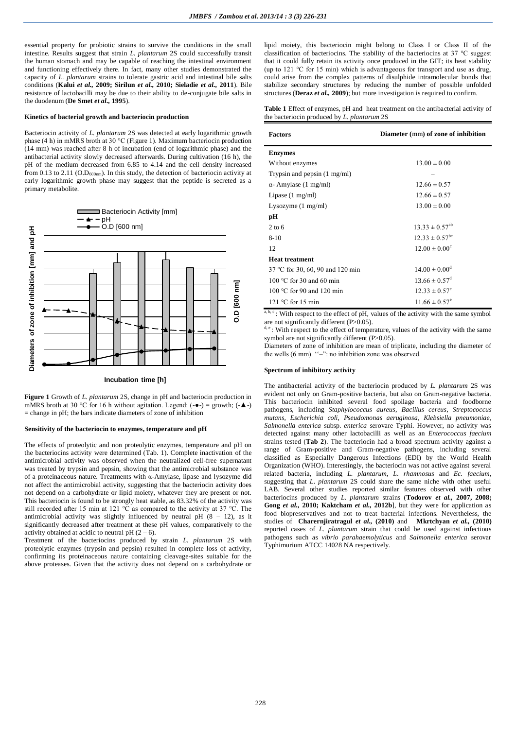essential property for probiotic strains to survive the conditions in the small intestine. Results suggest that strain *L. plantarum* 2S could successfully transit the human stomach and may be capable of reaching the intestinal environment and functioning effectively there. In fact, many other studies demonstrated the capacity of *L. plantarum* strains to tolerate gastric acid and intestinal bile salts conditions (**Kalui** *et al.,* **2009; Sirilun** *et al.,* **2010; Sieladie** *et al.,* **2011**). Bile resistance of lactobacilli may be due to their ability to de-conjugate bile salts in the duodenum (**De Smet** *et al.,* **1995**).

## **Kinetics of bacterial growth and bacteriocin production**

Bacteriocin activity of *L. plantarum* 2S was detected at early logarithmic growth phase (4 h) in mMRS broth at 30 °C (Figure 1). Maximum bacteriocin production (14 mm) was reached after 8 h of incubation (end of logarithmic phase) and the antibacterial activity slowly decreased afterwards. During cultivation (16 h), the pH of the medium decreased from 6.85 to 4.14 and the cell density increased from 0.13 to 2.11 ( $O.D<sub>600nm</sub>$ ). In this study, the detection of bacteriocin activity at early logarithmic growth phase may suggest that the peptide is secreted as a primary metabolite.



**Figure 1** Growth of *L. plantarum* 2S, change in pH and bacteriocin production in mMRS broth at 30 °C for 16 h without agitation. Legend:  $(-\bullet)$  = growth;  $(-\bullet)$  $=$  change in pH; the bars indicate diameters of zone of inhibition

### **Sensitivity of the bacteriocin to enzymes, temperature and pH**

The effects of proteolytic and non proteolytic enzymes, temperature and pH on the bacteriocins activity were determined (Tab. 1). Complete inactivation of the antimicrobial activity was observed when the neutralized cell-free supernatant was treated by trypsin and pepsin, showing that the antimicrobial substance was of a proteinaceous nature. Treatments with α-Amylase, lipase and lysozyme did not affect the antimicrobial activity, suggesting that the bacteriocin activity does not depend on a carbohydrate or lipid moiety, whatever they are present or not. This bacteriocin is found to be strongly heat stable, as 83.32% of the activity was still recorded after 15 min at 121  $\degree$ C as compared to the activity at 37  $\degree$ C. The antimicrobial activity was slightly influenced by neutral pH  $(8 - 12)$ , as it significantly decreased after treatment at these pH values, comparatively to the activity obtained at acidic to neutral pH  $(2 - 6)$ .

Treatment of the bacteriocins produced by strain *L. plantarum* 2S with proteolytic enzymes (trypsin and pepsin) resulted in complete loss of activity, confirming its proteinaceous nature containing cleavage-sites suitable for the above proteases. Given that the activity does not depend on a carbohydrate or

lipid moiety, this bacteriocin might belong to Class I or Class II of the classification of bacteriocins. The stability of the bacteriocins at 37 °C suggest that it could fully retain its activity once produced in the GIT; its heat stability (up to 121 °C for 15 min) which is advantageous for transport and use as drug, could arise from the complex patterns of disulphide intramolecular bonds that stabilize secondary structures by reducing the number of possible unfolded structures (**Deraz** *et al.,* **2009**); but more investigation is required to confirm.

|  |                                                    |  |  | <b>Table 1</b> Effect of enzymes, pH and heat treatment on the antibacterial activity of |  |
|--|----------------------------------------------------|--|--|------------------------------------------------------------------------------------------|--|
|  | the bacteriocin produced by <i>L. plantarum</i> 2S |  |  |                                                                                          |  |

| <b>Factors</b>                         | Diameter (mm) of zone of inhibition |  |  |  |
|----------------------------------------|-------------------------------------|--|--|--|
| <b>Enzymes</b>                         |                                     |  |  |  |
| Without enzymes                        | $13.00 \pm 0.00$                    |  |  |  |
| Trypsin and pepsin $(1 \text{ mg/ml})$ |                                     |  |  |  |
| $\alpha$ - Amylase (1 mg/ml)           | $12.66 \pm 0.57$                    |  |  |  |
| Lipase $(1 \text{ mg/ml})$             | $12.66 \pm 0.57$                    |  |  |  |
| Lysozyme $(1 \text{ mg/ml})$           | $13.00 \pm 0.00$                    |  |  |  |
| pН                                     |                                     |  |  |  |
| $2$ to 6                               | $13.33 \pm 0.57^{ab}$               |  |  |  |
| $8-10$                                 | $12.33 \pm 0.57^{\rm bc}$           |  |  |  |
| 12                                     | $12.00 \pm 0.00^{\circ}$            |  |  |  |
| <b>Heat treatment</b>                  |                                     |  |  |  |
| 37 °C for 30, 60, 90 and 120 min       | $14.00 \pm 0.00^{\rm d}$            |  |  |  |
| 100 $\degree$ C for 30 and 60 min      | $13.66 \pm 0.57^{\rm d}$            |  |  |  |
| 100 °C for 90 and 120 min              | $12.33 \pm 0.57^{\circ}$            |  |  |  |
| $121 \text{ °C}$ for 15 min            | $11.66 \pm 0.57^e$                  |  |  |  |

 $a, b, c$ : With respect to the effect of pH, values of the activity with the same symbol are not significantly different  $(P>0.05)$ .

 $\mathbb{R}^2$ : With respect to the effect of temperature, values of the activity with the same symbol are not significantly different (P>0.05).

Diameters of zone of inhibition are mean of triplicate, including the diameter of the wells (6 mm). "-": no inhibition zone was observed.

#### **Spectrum of inhibitory activity**

The antibacterial activity of the bacteriocin produced by *L. plantarum* 2S was evident not only on Gram-positive bacteria, but also on Gram-negative bacteria. This bacteriocin inhibited several food spoilage bacteria and foodborne pathogens, including *Staphylococcus aureus*, *Bacillus cereus*, *Streptococcus mutans*, *Escherichia coli*, *Pseudomonas aeruginosa*, *Klebsiella pneumoniae*, *Salmonella enterica* subsp. *enterica* serovare Typhi. However, no activity was detected against many other lactobacilli as well as an *Enterococcus faecium* strains tested (**Tab 2**). The bacteriocin had a broad spectrum activity against a range of Gram-positive and Gram-negative pathogens, including several classified as Especially Dangerous Infections (EDI) by the World Health Organization (WHO). Interestingly, the bacteriocin was not active against several related bacteria, including *L. plantarum*, *L. rhamnosus* and *Ec. faecium*, suggesting that *L. plantarum* 2S could share the same niche with other useful LAB. Several other studies reported similar features observed with other bacteriocins produced by *L. plantarum* strains (**Todorov** *et al.,* **2007, 2008; Gong** *et al.,* **2010; Kaktcham** *et al.,* **2012b**], but they were for application as food biopreservatives and not to treat bacterial infections. Nevertheless, the studies of **Charernjiratragul** *et al.,* **(2010)** and **Mkrtchyan** *et al.,* **(2010)** reported cases of *L. plantarum* strain that could be used against infectious pathogens such as *vibrio parahaemolyticus* and *Salmonella enterica* serovar Typhimurium ATCC 14028 NA respectively.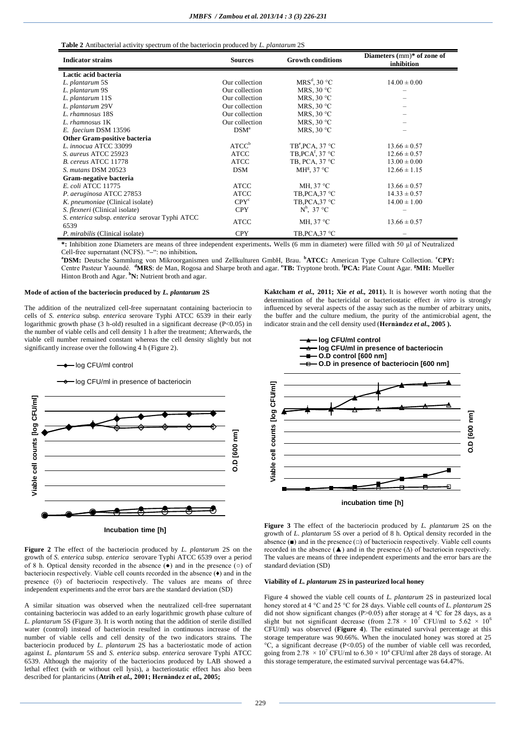| <b>Indicator strains</b>                               | <b>Sources</b>    | <b>Growth conditions</b>     | Diameters $(mm)*$ of zone of<br>inhibition |  |
|--------------------------------------------------------|-------------------|------------------------------|--------------------------------------------|--|
| Lactic acid bacteria                                   |                   |                              |                                            |  |
| L. plantarum 5S                                        | Our collection    | $MRS^d$ , 30 °C              | $14.00 \pm 0.00$                           |  |
| L. plantarum 9S                                        | Our collection    | MRS, $30 °C$                 |                                            |  |
| L. plantarum 11S                                       | Our collection    | MRS, $30 °C$                 |                                            |  |
| L. plantarum 29V                                       | Our collection    | MRS, $30 °C$                 |                                            |  |
| L. rhamnosus 18S                                       | Our collection    | MRS, $30^{\circ}$ C          |                                            |  |
| L. rhamnosus 1K                                        | Our collection    | MRS, $30^{\circ}$ C          |                                            |  |
| E. faecium DSM 13596                                   | DSM <sup>a</sup>  | MRS, $30^{\circ}$ C          |                                            |  |
| Other Gram-positive bacteria                           |                   |                              |                                            |  |
| L. innocua ATCC 33099                                  | ATCC <sup>b</sup> | $TB^e$ , PCA, 37 $^o$ C      | $13.66 \pm 0.57$                           |  |
| S. aureus ATCC 25923                                   | <b>ATCC</b>       | TB, PCA <sup>f</sup> , 37 °C | $12.66 \pm 0.57$                           |  |
| B. cereus ATCC 11778                                   | ATCC              | TB, PCA, 37 °C               | $13.00 \pm 0.00$                           |  |
| S. mutans DSM 20523                                    | <b>DSM</b>        | MH <sup>g</sup> , 37 °C      | $12.66 \pm 1.15$                           |  |
| Gram-negative bacteria                                 |                   |                              |                                            |  |
| E. coli ATCC 11775                                     | <b>ATCC</b>       | MH, $37^{\circ}$ C           | $13.66 \pm 0.57$                           |  |
| P. aeruginosa ATCC 27853                               | <b>ATCC</b>       | TB, PCA, 37 °C               | $14.33 \pm 0.57$                           |  |
| K. pneumoniae (Clinical isolate)                       | CPY <sup>c</sup>  | TB, PCA, 37 °C               | $14.00 \pm 1.00$                           |  |
| <i>S. flexneri</i> (Clinical isolate)                  | <b>CPY</b>        | $N^h$ , 37 °C                |                                            |  |
| S. enterica subsp. enterica serovar Typhi ATCC<br>6539 | <b>ATCC</b>       | MH, $37^{\circ}$ C           | $13.66 \pm 0.57$                           |  |
| P. mirabilis (Clinical isolate)                        | <b>CPY</b>        | TB, PCA, 37 °C               |                                            |  |

**\*:** Inhibition zone Diameters are means of three independent experiments**.** Wells (6 mm in diameter) were filled with 50 µl of Neutralized Cell-free supernatant (NCFS). "**–**": no inhibition**.** 

**<sup>a</sup>DSM:** Deutsche Sammlung von Mikroorganismen und Zellkulturen GmbH, Brau. **<sup>b</sup>ATCC:** American Type Culture Collection. **<sup>c</sup>CPY:** Centre Pasteur Yaoundé. **<sup>d</sup>MRS**: de Man, Rogosa and Sharpe broth and agar. **<sup>e</sup>TB:** Tryptone broth. **<sup>f</sup> PCA:** Plate Count Agar. **<sup>g</sup>MH:** Mueller Hinton Broth and Agar. **<sup>h</sup>N:** Nutrient broth and agar.

### **Mode of action of the bacteriocin produced by** *L. plantarum* **2S**

The addition of the neutralized cell-free supernatant containing bacteriocin to cells of *S. enterica* subsp*. enterica* serovare Typhi ATCC 6539 in their early logarithmic growth phase (3 h-old) resulted in a significant decrease (P<0.05) in the number of viable cells and cell density 1 h after the treatment; Afterwards, the viable cell number remained constant whereas the cell density slightly but not significantly increase over the following 4 h (Figure 2).

- log CFU/ml control

log CFU/ml in presence of bacteriocin





A similar situation was observed when the neutralized cell-free supernatant containing bacteriocin was added to an early logarithmic growth phase culture of *L. plantarum* 5S (Figure 3). It is worth noting that the addition of sterile distilled water (control) instead of bacteriocin resulted in continuous increase of the number of viable cells and cell density of the two indicators strains. The bacteriocin produced by *L. plantarum* 2S has a bacteriostatic mode of action against *L. plantarum* 5S and *S. enterica* subsp. *enterica* serovare Typhi ATCC 6539. Although the majority of the bacteriocins produced by LAB showed a lethal effect (with or without cell lysis), a bacteriostatic effect has also been described for plantaricins (**Atrih** *et al.,* **2001; Hernàndez** *et al.,* **2005;** 

**Kaktcham** *et al.,* **2011; Xie** *et al.,* **2011**)**.** It is however worth noting that the determination of the bactericidal or bacteriostatic effect *in vitro* is strongly influenced by several aspects of the assay such as the number of arbitrary units, the buffer and the culture medium, the purity of the antimicrobial agent, the indicator strain and the cell density used (**Hernàndez** *et al.,* **2005 ).**



**Figure 3** The effect of the bacteriocin produced by *L. plantarum* 2S on the growth of *L. plantarum* 5S over a period of 8 h. Optical density recorded in the absence  $(\blacksquare)$  and in the presence  $(\square)$  of bacteriocin respectively. Viable cell counts recorded in the absence  $(\triangle)$  and in the presence  $(\triangle)$  of bacteriocin respectively. The values are means of three independent experiments and the error bars are the standard deviation (SD)

## **Viability of** *L. plantarum* **2S in pasteurized local honey**

Figure 4 showed the viable cell counts of *L. plantarum* 2S in pasteurized local honey stored at 4 °C and 25 °C for 28 days. Viable cell counts of *L. plantarum* 2S did not show significant changes (P>0.05) after storage at 4 °C for 28 days, as a slight but not significant decrease (from  $2.78 \times 10^7$  CFU/ml to  $5.62 \times 10^6$ ) CFU/ml) was observed (**Figure 4**). The estimated survival percentage at this storage temperature was 90.66%. When the inoculated honey was stored at 25  $^{\circ}$ C, a significant decrease (P<0.05) of the number of viable cell was recorded. going from 2.78  $\times$  10<sup>7</sup> CFU/ml to 6.30  $\times$  10<sup>4</sup> CFU/ml after 28 days of storage. At this storage temperature, the estimated survival percentage was 64.47%.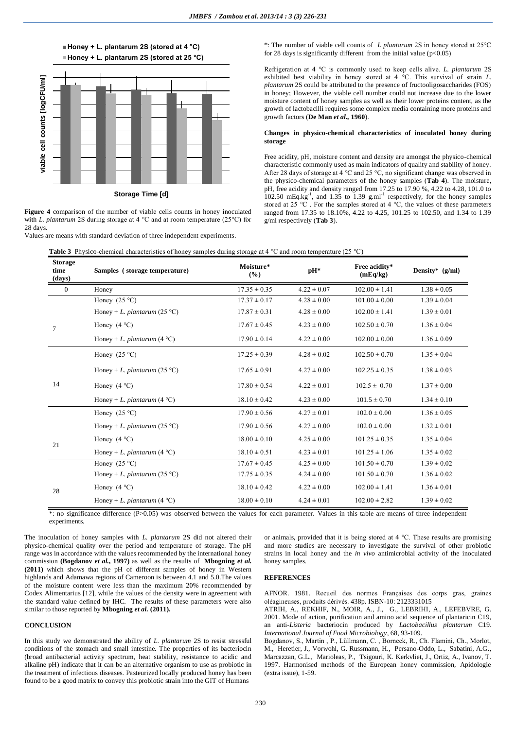



**Storage Time [d]**

**Figure 4** comparison of the number of viable cells counts in honey inoculated with *L. plantarum* 2S during storage at 4 °C and at room temperature (25°C) for 28 days.

Values are means with standard deviation of three independent experiments.

\*: The number of viable cell counts of *L plantarum* 2S in honey stored at 25°C for 28 days is significantly different from the initial value ( $p<0.05$ )

Refrigeration at 4 °C is commonly used to keep cells alive. *L. plantarum* 2S exhibited best viability in honey stored at 4 °C. This survival of strain *L. plantarum* 2S could be attributed to the presence of fructooligosaccharides (FOS) in honey; However, the viable cell number could not increase due to the lower moisture content of honey samples as well as their lower proteins content, as the growth of lactobacilli requires some complex media containing more proteins and growth factors (**De Man** *et al.,* **1960**).

## **Changes in physico-chemical characteristics of inoculated honey during storage**

Free acidity, pH, moisture content and density are amongst the physico-chemical characteristic commonly used as main indicators of quality and stability of honey. After 28 days of storage at 4 °C and 25 °C, no significant change was observed in the physico-chemical parameters of the honey samples (**Tab 4**). The moisture, pH, free acidity and density ranged from 17.25 to 17.90 %, 4.22 to 4.28, 101.0 to  $102.50 \text{ mEq.kg}^{-1}$ , and  $1.35 \text{ to } 1.39 \text{ g.m}^{-1}$  respectively, for the honey samples stored at  $25^{\circ}$ C. For the samples stored at  $4^{\circ}$ C, the values of these parameters ranged from 17.35 to 18.10%, 4.22 to 4.25, 101.25 to 102.50, and 1.34 to 1.39 g/ml respectively (**Tab 3**).

| <b>Storage</b><br>time<br>(days) | <b>Table 5</b> The site of the interaction is the state of honey samples damage and $\sim$ and footh temperature (25 $\sim$ )<br>Samples (storage temperature) | Moisture*<br>(%) | $pH*$           | Free acidity*<br>(mEq/kg) | Density* (g/ml) |
|----------------------------------|----------------------------------------------------------------------------------------------------------------------------------------------------------------|------------------|-----------------|---------------------------|-----------------|
| $\overline{0}$                   | Honey                                                                                                                                                          | $17.35 \pm 0.35$ | $4.22 \pm 0.07$ | $102.00 \pm 1.41$         | $1.38 \pm 0.05$ |
|                                  | Honey $(25 °C)$                                                                                                                                                | $17.37 \pm 0.17$ | $4.28 \pm 0.00$ | $101.00 \pm 0.00$         | $1.39 \pm 0.04$ |
|                                  | Honey + L. plantarum (25 °C)                                                                                                                                   | $17.87 \pm 0.31$ | $4.28 \pm 0.00$ | $102.00 \pm 1.41$         | $1.39 \pm 0.01$ |
| $\tau$                           | Honey $(4 °C)$                                                                                                                                                 | $17.67 \pm 0.45$ | $4.23 \pm 0.00$ | $102.50 \pm 0.70$         | $1.36 \pm 0.04$ |
|                                  | Honey + L. plantarum $(4 °C)$                                                                                                                                  | $17.90 \pm 0.14$ | $4.22 \pm 0.00$ | $102.00 \pm 0.00$         | $1.36 \pm 0.09$ |
|                                  | Honey $(25 °C)$                                                                                                                                                | $17.25 \pm 0.39$ | $4.28 \pm 0.02$ | $102.50 \pm 0.70$         | $1.35 \pm 0.04$ |
| 14                               | Honey + <i>L. plantarum</i> (25 °C)                                                                                                                            | $17.65 \pm 0.91$ | $4.27 \pm 0.00$ | $102.25 \pm 0.35$         | $1.38 \pm 0.03$ |
|                                  | Honey $(4 °C)$                                                                                                                                                 | $17.80 \pm 0.54$ | $4.22 \pm 0.01$ | $102.5 \pm 0.70$          | $1.37 \pm 0.00$ |
|                                  | Honey + L. plantarum $(4 °C)$                                                                                                                                  | $18.10 \pm 0.42$ | $4.23 \pm 0.00$ | $101.5 \pm 0.70$          | $1.34 \pm 0.10$ |
|                                  | Honey $(25 °C)$                                                                                                                                                | $17.90 \pm 0.56$ | $4.27 \pm 0.01$ | $102.0 \pm 0.00$          | $1.36 \pm 0.05$ |
|                                  | Honey + <i>L. plantarum</i> (25 °C)                                                                                                                            | $17.90 \pm 0.56$ | $4.27 \pm 0.00$ | $102.0 \pm 0.00$          | $1.32 \pm 0.01$ |
| 21                               | Honey $(4 °C)$                                                                                                                                                 | $18.00 \pm 0.10$ | $4.25 \pm 0.00$ | $101.25 \pm 0.35$         | $1.35 \pm 0.04$ |
|                                  | Honey + L. plantarum (4 °C)                                                                                                                                    | $18.10 \pm 0.51$ | $4.23 \pm 0.01$ | $101.25 \pm 1.06$         | $1.35 \pm 0.02$ |
|                                  | Honey $(25 °C)$                                                                                                                                                | $17.67 \pm 0.45$ | $4.25 \pm 0.00$ | $101.50 \pm 0.70$         | $1.39 \pm 0.02$ |
| 28                               | Honey + L. plantarum (25 °C)                                                                                                                                   | $17.75 \pm 0.35$ | $4.24 \pm 0.00$ | $101.50 \pm 0.70$         | $1.36 \pm 0.02$ |
|                                  | Honey $(4 °C)$                                                                                                                                                 | $18.10 \pm 0.42$ | $4.22 \pm 0.00$ | $102.00 \pm 1.41$         | $1.36 \pm 0.01$ |
|                                  | Honey + <i>L. plantarum</i> (4 °C)                                                                                                                             | $18.00 \pm 0.10$ | $4.24 \pm 0.01$ | $102.00 \pm 2.82$         | $1.39 \pm 0.02$ |

**Table 3** Physico-chemical characteristics of honey samples during storage at 4 °C and room temperature (25 °C)

\*: no significance difference (P>0.05) was observed between the values for each parameter. Values in this table are means of three independent experiments.

The inoculation of honey samples with *L. plantarum* 2S did not altered their physico-chemical quality over the period and temperature of storage. The pH range was in accordance with the values recommended by the international honey commission **(Bogdanov** *et al.,* **1997)** as well as the results of **Mbogning** *et al.* **(2011)** which shows that the pH of different samples of honey in Western highlands and Adamawa regions of Cameroon is between 4.1 and 5.0.The values of the moisture content were less than the maximum 20% recommended by Codex Alimentarius [12], while the values of the density were in agreement with the standard value defined by IHC. The results of these parameters were also similar to those reported by **Mbogning** *et al.* **(2011).**

# **CONCLUSION**

In this study we demonstrated the ability of *L. plantarum* 2S to resist stressful conditions of the stomach and small intestine. The properties of its bacteriocin (broad antibacterial activity spectrum, heat stability, resistance to acidic and alkaline pH) indicate that it can be an alternative organism to use as probiotic in the treatment of infectious diseases. Pasteurized locally produced honey has been found to be a good matrix to convey this probiotic strain into the GIT of Humans

or animals, provided that it is being stored at 4 °C. These results are promising and more studies are necessary to investigate the survival of other probiotic strains in local honey and the *in vivo* antimicrobial activity of the inoculated honey samples.

## **REFERENCES**

AFNOR. 1981. Recueil des normes Françaises des corps gras, graines oléagineuses, produits dérivés. 438p. ISBN-10: 2123331015

ATRIH, A., REKHIF, N., MOIR, A., J., G., LEBRIHI, A., LEFEBVRE, G. 2001. Mode of action, purification and amino acid sequence of plantaricin C19, an anti-*Listeria* bacteriocin produced by *Lactobacillus plantarum* C19. *International Journal of Food Microbiology*, 68, 93-109.

Bogdanov, S., Martin , P., Lüllmann, C. , Borneck, R., Ch. Flamini, Ch., Morlot, M., Heretier, J., Vorwohl, G. Russmann, H., Persano-Oddo, L., Sabatini, A.G., Marcazzan, G.L., Marioleas, P., Tsigouri, K. Kerkvliet, J., Ortiz, A., Ivanov, T. 1997. Harmonised methods of the European honey commission, Apidologie (extra issue), 1-59.